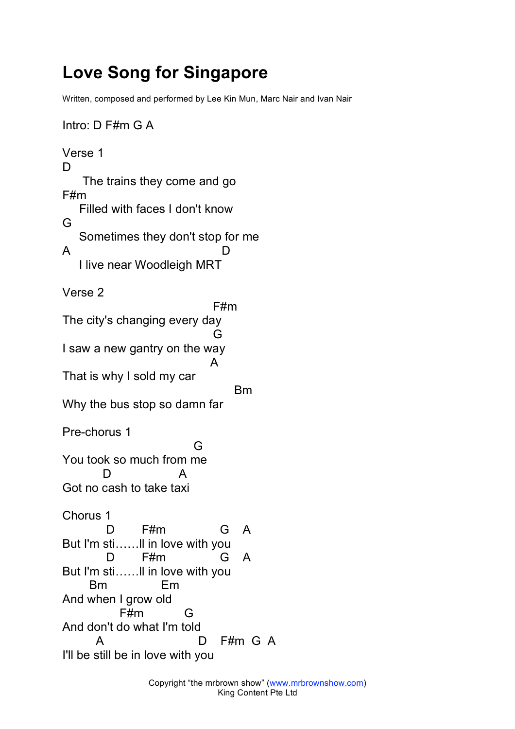## **Love Song for Singapore**

Written, composed and performed by Lee Kin Mun, Marc Nair and Ivan Nair

```
Intro: D F#m G A
Verse 1
D<sub>1</sub>
   The trains they come and go
F#m
  Filled with faces I don't know
G
  Sometimes they don't stop for me
A D
  I live near Woodleigh MRT
Verse 2
                       F#m
The city's changing every day
                       G
I saw a new gantry on the way
                       A
That is why I sold my car
                          Bm
Why the bus stop so damn far
Pre-chorus 1
                    G
You took so much from me
      D A
Got no cash to take taxi
Chorus 1
       D F#m G A
But I'm sti……ll in love with you
      D F#m G A
But I'm sti……ll in love with you
    Bm Em
And when I grow old
         F#m G
And don't do what I'm told
     A D F#m G A
I'll be still be in love with you
```